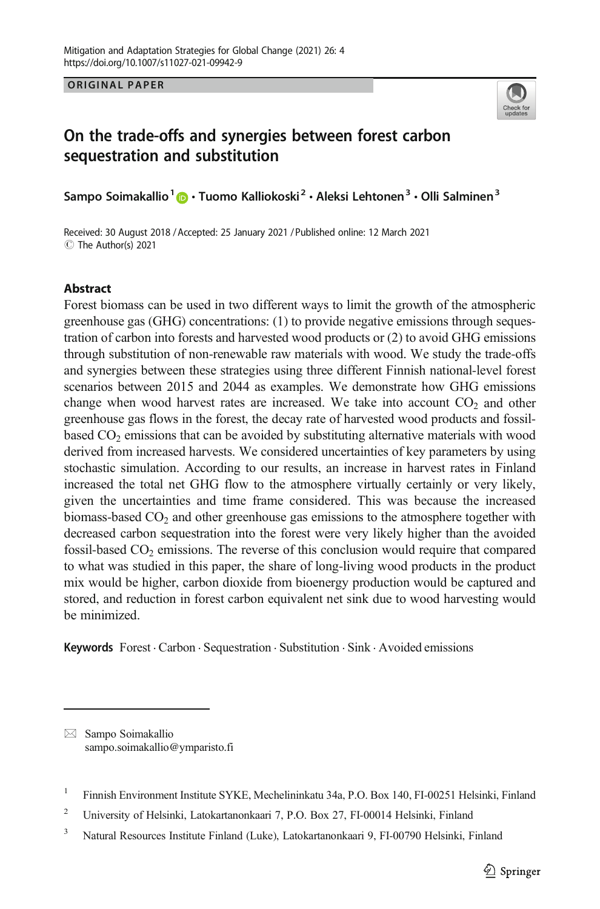ORIGINAL PAPER



# On the trade-offs and synergies between forest carbon sequestration and substitution

Sampo Soimakallio<sup>1</sup> (D · Tuomo Kalliokoski<sup>2</sup> · Aleksi Lehtonen<sup>3</sup> · Olli Salminen<sup>3</sup>

Received: 30 August 2018 / Accepted: 25 January 2021 /Published online: 12 March 2021 C The Author(s) 2021

# **Abstract**

Forest biomass can be used in two different ways to limit the growth of the atmospheric greenhouse gas (GHG) concentrations: (1) to provide negative emissions through sequestration of carbon into forests and harvested wood products or (2) to avoid GHG emissions through substitution of non-renewable raw materials with wood. We study the trade-offs and synergies between these strategies using three different Finnish national-level forest scenarios between 2015 and 2044 as examples. We demonstrate how GHG emissions change when wood harvest rates are increased. We take into account  $CO<sub>2</sub>$  and other greenhouse gas flows in the forest, the decay rate of harvested wood products and fossilbased  $CO<sub>2</sub>$  emissions that can be avoided by substituting alternative materials with wood derived from increased harvests. We considered uncertainties of key parameters by using stochastic simulation. According to our results, an increase in harvest rates in Finland increased the total net GHG flow to the atmosphere virtually certainly or very likely, given the uncertainties and time frame considered. This was because the increased biomass-based  $CO<sub>2</sub>$  and other greenhouse gas emissions to the atmosphere together with decreased carbon sequestration into the forest were very likely higher than the avoided fossil-based  $CO<sub>2</sub>$  emissions. The reverse of this conclusion would require that compared to what was studied in this paper, the share of long-living wood products in the product mix would be higher, carbon dioxide from bioenergy production would be captured and stored, and reduction in forest carbon equivalent net sink due to wood harvesting would be minimized.

Keywords Forest · Carbon · Sequestration · Substitution · Sink · Avoided emissions

 $\boxtimes$  Sampo Soimakallio [sampo.soimakallio@ymparisto.fi](mailto:sampo.soimakallio@ymparisto.fi)

<sup>&</sup>lt;sup>1</sup> Finnish Environment Institute SYKE, Mechelininkatu 34a, P.O. Box 140, FI-00251 Helsinki, Finland

<sup>2</sup> University of Helsinki, Latokartanonkaari 7, P.O. Box 27, FI-00014 Helsinki, Finland

<sup>&</sup>lt;sup>3</sup> Natural Resources Institute Finland (Luke), Latokartanonkaari 9, FI-00790 Helsinki, Finland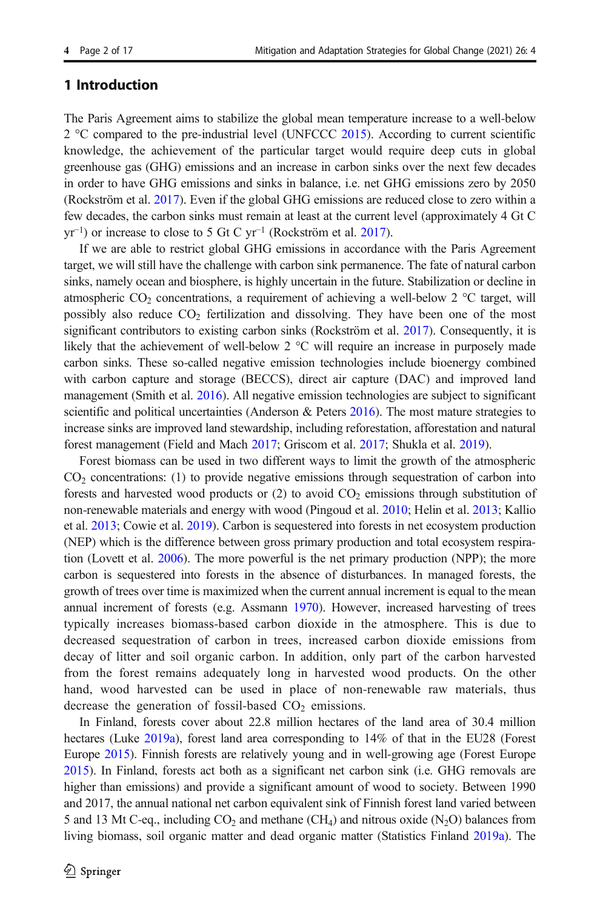# 1 Introduction

The Paris Agreement aims to stabilize the global mean temperature increase to a well-below  $2^{\circ}$ C compared to the pre-industrial level (UNFCCC [2015\)](#page-16-0). According to current scientific knowledge, the achievement of the particular target would require deep cuts in global greenhouse gas (GHG) emissions and an increase in carbon sinks over the next few decades in order to have GHG emissions and sinks in balance, i.e. net GHG emissions zero by 2050 (Rockström et al. [2017](#page-15-0)). Even if the global GHG emissions are reduced close to zero within a few decades, the carbon sinks must remain at least at the current level (approximately 4 Gt C  $yr^{-1}$ ) or increase to close to 5 Gt C  $vr^{-1}$  (Rockström et al. [2017\)](#page-15-0).

If we are able to restrict global GHG emissions in accordance with the Paris Agreement target, we will still have the challenge with carbon sink permanence. The fate of natural carbon sinks, namely ocean and biosphere, is highly uncertain in the future. Stabilization or decline in atmospheric CO<sub>2</sub> concentrations, a requirement of achieving a well-below 2  $\degree$ C target, will possibly also reduce  $CO<sub>2</sub>$  fertilization and dissolving. They have been one of the most significant contributors to existing carbon sinks (Rockström et al. [2017](#page-15-0)). Consequently, it is likely that the achievement of well-below 2 °C will require an increase in purposely made carbon sinks. These so-called negative emission technologies include bioenergy combined with carbon capture and storage (BECCS), direct air capture (DAC) and improved land management (Smith et al. [2016\)](#page-16-0). All negative emission technologies are subject to significant scientific and political uncertainties (Anderson & Peters  $2016$ ). The most mature strategies to increase sinks are improved land stewardship, including reforestation, afforestation and natural forest management (Field and Mach [2017;](#page-14-0) Griscom et al. [2017](#page-14-0); Shukla et al. [2019](#page-16-0)).

Forest biomass can be used in two different ways to limit the growth of the atmospheric  $CO<sub>2</sub>$  concentrations: (1) to provide negative emissions through sequestration of carbon into forests and harvested wood products or  $(2)$  to avoid  $CO<sub>2</sub>$  emissions through substitution of non-renewable materials and energy with wood (Pingoud et al. [2010;](#page-15-0) Helin et al. [2013;](#page-14-0) Kallio et al. [2013](#page-15-0); Cowie et al. [2019](#page-14-0)). Carbon is sequestered into forests in net ecosystem production (NEP) which is the difference between gross primary production and total ecosystem respiration (Lovett et al. [2006](#page-15-0)). The more powerful is the net primary production (NPP); the more carbon is sequestered into forests in the absence of disturbances. In managed forests, the growth of trees over time is maximized when the current annual increment is equal to the mean annual increment of forests (e.g. Assmann [1970](#page-14-0)). However, increased harvesting of trees typically increases biomass-based carbon dioxide in the atmosphere. This is due to decreased sequestration of carbon in trees, increased carbon dioxide emissions from decay of litter and soil organic carbon. In addition, only part of the carbon harvested from the forest remains adequately long in harvested wood products. On the other hand, wood harvested can be used in place of non-renewable raw materials, thus decrease the generation of fossil-based  $CO<sub>2</sub>$  emissions.

In Finland, forests cover about 22.8 million hectares of the land area of 30.4 million hectares (Luke [2019a](#page-15-0)), forest land area corresponding to 14% of that in the EU28 (Forest Europe [2015](#page-14-0)). Finnish forests are relatively young and in well-growing age (Forest Europe [2015](#page-14-0)). In Finland, forests act both as a significant net carbon sink (i.e. GHG removals are higher than emissions) and provide a significant amount of wood to society. Between 1990 and 2017, the annual national net carbon equivalent sink of Finnish forest land varied between 5 and 13 Mt C-eq., including  $CO_2$  and methane (CH<sub>4</sub>) and nitrous oxide (N<sub>2</sub>O) balances from living biomass, soil organic matter and dead organic matter (Statistics Finland [2019a\)](#page-16-0). The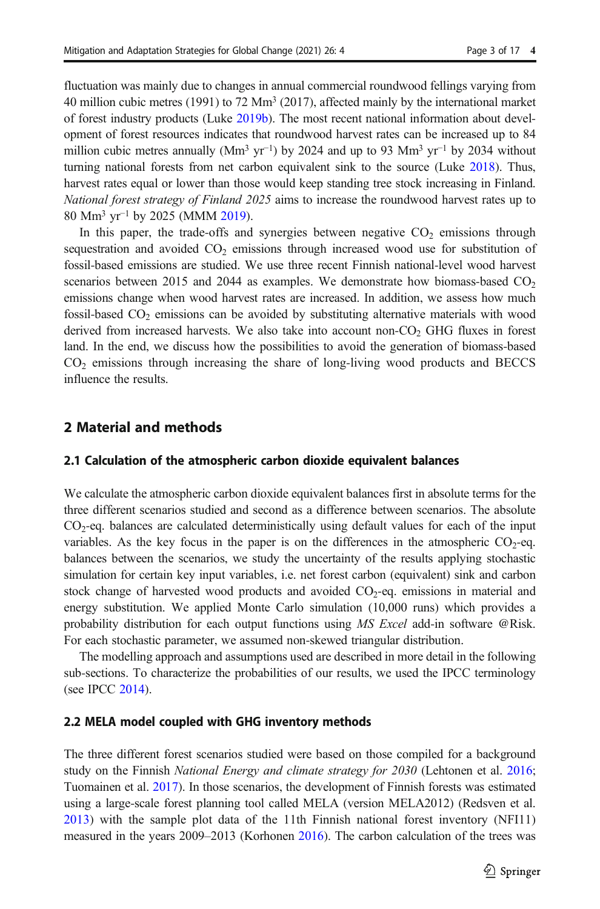fluctuation was mainly due to changes in annual commercial roundwood fellings varying from 40 million cubic metres (1991) to 72 Mm<sup>3</sup> (2017), affected mainly by the international market of forest industry products (Luke [2019b](#page-15-0)). The most recent national information about development of forest resources indicates that roundwood harvest rates can be increased up to 84 million cubic metres annually (Mm<sup>3</sup> yr<sup>-1</sup>) by 2024 and up to 93 Mm<sup>3</sup> yr<sup>-1</sup> by 2034 without turning national forests from net carbon equivalent sink to the source (Luke [2018\)](#page-15-0). Thus, harvest rates equal or lower than those would keep standing tree stock increasing in Finland. National forest strategy of Finland 2025 aims to increase the roundwood harvest rates up to 80 Mm3 yr<sup>−</sup><sup>1</sup> by 2025 (MMM [2019](#page-15-0)).

In this paper, the trade-offs and synergies between negative  $CO<sub>2</sub>$  emissions through sequestration and avoided  $CO<sub>2</sub>$  emissions through increased wood use for substitution of fossil-based emissions are studied. We use three recent Finnish national-level wood harvest scenarios between 2015 and 2044 as examples. We demonstrate how biomass-based  $CO<sub>2</sub>$ emissions change when wood harvest rates are increased. In addition, we assess how much fossil-based  $CO<sub>2</sub>$  emissions can be avoided by substituting alternative materials with wood derived from increased harvests. We also take into account non- $CO<sub>2</sub>$  GHG fluxes in forest land. In the end, we discuss how the possibilities to avoid the generation of biomass-based  $CO<sub>2</sub>$  emissions through increasing the share of long-living wood products and BECCS influence the results.

# 2 Material and methods

# 2.1 Calculation of the atmospheric carbon dioxide equivalent balances

We calculate the atmospheric carbon dioxide equivalent balances first in absolute terms for the three different scenarios studied and second as a difference between scenarios. The absolute  $CO<sub>2</sub>$ -eq. balances are calculated deterministically using default values for each of the input variables. As the key focus in the paper is on the differences in the atmospheric  $CO_2$ -eq. balances between the scenarios, we study the uncertainty of the results applying stochastic simulation for certain key input variables, i.e. net forest carbon (equivalent) sink and carbon stock change of harvested wood products and avoided  $CO<sub>2</sub>$ -eq. emissions in material and energy substitution. We applied Monte Carlo simulation (10,000 runs) which provides a probability distribution for each output functions using MS Excel add-in software @Risk. For each stochastic parameter, we assumed non-skewed triangular distribution.

The modelling approach and assumptions used are described in more detail in the following sub-sections. To characterize the probabilities of our results, we used the IPCC terminology (see IPCC [2014](#page-15-0)).

#### 2.2 MELA model coupled with GHG inventory methods

The three different forest scenarios studied were based on those compiled for a background study on the Finnish National Energy and climate strategy for 2030 (Lehtonen et al. [2016](#page-15-0); Tuomainen et al. [2017\)](#page-16-0). In those scenarios, the development of Finnish forests was estimated using a large-scale forest planning tool called MELA (version MELA2012) (Redsven et al. [2013\)](#page-15-0) with the sample plot data of the 11th Finnish national forest inventory (NFI11) measured in the years 2009–2013 (Korhonen [2016](#page-15-0)). The carbon calculation of the trees was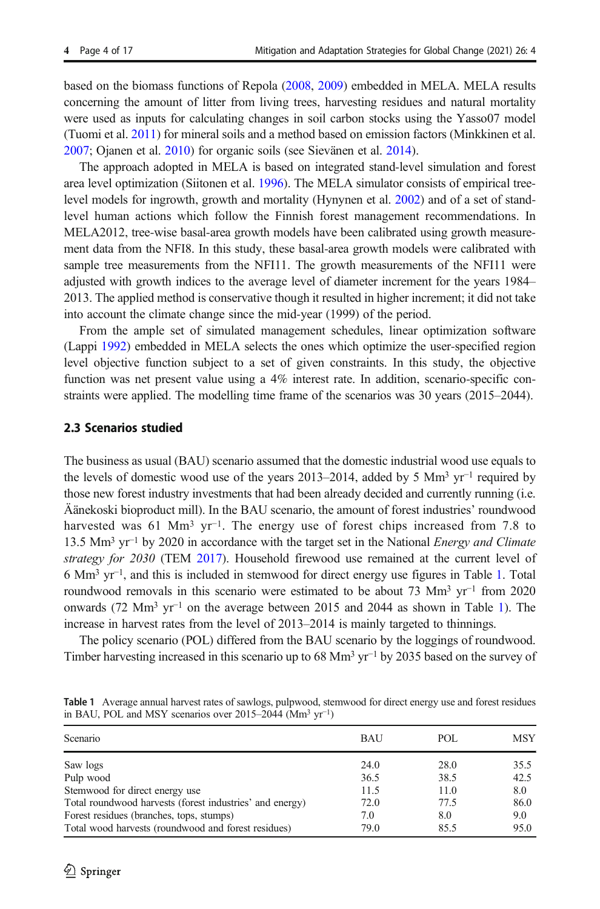based on the biomass functions of Repola [\(2008,](#page-15-0) [2009\)](#page-15-0) embedded in MELA. MELA results concerning the amount of litter from living trees, harvesting residues and natural mortality were used as inputs for calculating changes in soil carbon stocks using the Yasso07 model (Tuomi et al. [2011\)](#page-16-0) for mineral soils and a method based on emission factors (Minkkinen et al. [2007](#page-15-0); Ojanen et al. [2010](#page-15-0)) for organic soils (see Sievänen et al. [2014\)](#page-16-0).

The approach adopted in MELA is based on integrated stand-level simulation and forest area level optimization (Siitonen et al. [1996\)](#page-16-0). The MELA simulator consists of empirical treelevel models for ingrowth, growth and mortality (Hynynen et al. [2002\)](#page-14-0) and of a set of standlevel human actions which follow the Finnish forest management recommendations. In MELA2012, tree-wise basal-area growth models have been calibrated using growth measurement data from the NFI8. In this study, these basal-area growth models were calibrated with sample tree measurements from the NFI11. The growth measurements of the NFI11 were adjusted with growth indices to the average level of diameter increment for the years 1984– 2013. The applied method is conservative though it resulted in higher increment; it did not take into account the climate change since the mid-year (1999) of the period.

From the ample set of simulated management schedules, linear optimization software (Lappi [1992\)](#page-15-0) embedded in MELA selects the ones which optimize the user-specified region level objective function subject to a set of given constraints. In this study, the objective function was net present value using a 4% interest rate. In addition, scenario-specific constraints were applied. The modelling time frame of the scenarios was 30 years (2015–2044).

### 2.3 Scenarios studied

The business as usual (BAU) scenario assumed that the domestic industrial wood use equals to the levels of domestic wood use of the years 2013–2014, added by 5 Mm<sup>3</sup> yr<sup>-1</sup> required by those new forest industry investments that had been already decided and currently running (i.e. Äänekoski bioproduct mill). In the BAU scenario, the amount of forest industries' roundwood harvested was 61 Mm<sup>3</sup> yr<sup>-1</sup>. The energy use of forest chips increased from 7.8 to 13.5 Mm3 yr<sup>−</sup><sup>1</sup> by 2020 in accordance with the target set in the National Energy and Climate strategy for 2030 (TEM [2017\)](#page-16-0). Household firewood use remained at the current level of 6 Mm3 yr<sup>−</sup>1, and this is included in stemwood for direct energy use figures in Table 1. Total roundwood removals in this scenario were estimated to be about 73 Mm<sup>3</sup> yr<sup>-1</sup> from 2020 onwards (72 Mm3 yr<sup>−</sup><sup>1</sup> on the average between 2015 and 2044 as shown in Table 1). The increase in harvest rates from the level of 2013–2014 is mainly targeted to thinnings.

The policy scenario (POL) differed from the BAU scenario by the loggings of roundwood. Timber harvesting increased in this scenario up to 68 Mm<sup>3</sup> yr<sup>-1</sup> by 2035 based on the survey of

| Scenario                                                 | <b>BAU</b> | POL  | <b>MSY</b> |
|----------------------------------------------------------|------------|------|------------|
| Saw logs                                                 | 24.0       | 28.0 | 35.5       |
| Pulp wood                                                | 36.5       | 38.5 | 42.5       |
| Stemwood for direct energy use                           | 11.5       | 11.0 | 8.0        |
| Total roundwood harvests (forest industries' and energy) | 72.0       | 77.5 | 86.0       |
| Forest residues (branches, tops, stumps)                 | 7.0        | 8.0  | 9.0        |
| Total wood harvests (roundwood and forest residues)      | 79.0       | 85.5 | 95.0       |

Table 1 Average annual harvest rates of sawlogs, pulpwood, stemwood for direct energy use and forest residues in BAU, POL and MSY scenarios over 2015–2044 (Mm3 yr<sup>−</sup>1)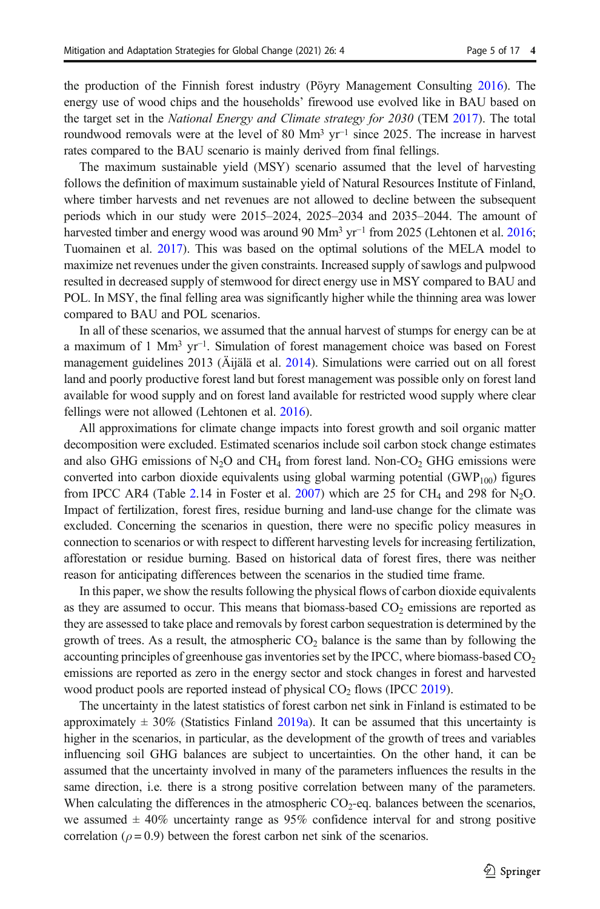the production of the Finnish forest industry (Pöyry Management Consulting [2016\)](#page-15-0). The energy use of wood chips and the households' firewood use evolved like in BAU based on the target set in the National Energy and Climate strategy for 2030 (TEM [2017](#page-16-0)). The total roundwood removals were at the level of 80 Mm<sup>3</sup> yr<sup>-1</sup> since 2025. The increase in harvest rates compared to the BAU scenario is mainly derived from final fellings.

The maximum sustainable yield (MSY) scenario assumed that the level of harvesting follows the definition of maximum sustainable yield of Natural Resources Institute of Finland, where timber harvests and net revenues are not allowed to decline between the subsequent periods which in our study were 2015–2024, 2025–2034 and 2035–2044. The amount of harvested timber and energy wood was around 90 Mm<sup>3</sup> yr<sup>-1</sup> from 2025 (Lehtonen et al. [2016](#page-15-0); Tuomainen et al. [2017\)](#page-16-0). This was based on the optimal solutions of the MELA model to maximize net revenues under the given constraints. Increased supply of sawlogs and pulpwood resulted in decreased supply of stemwood for direct energy use in MSY compared to BAU and POL. In MSY, the final felling area was significantly higher while the thinning area was lower compared to BAU and POL scenarios.

In all of these scenarios, we assumed that the annual harvest of stumps for energy can be at a maximum of 1 Mm3 yr<sup>−</sup>1. Simulation of forest management choice was based on Forest management guidelines 2013 (Äijälä et al. [2014\)](#page-14-0). Simulations were carried out on all forest land and poorly productive forest land but forest management was possible only on forest land available for wood supply and on forest land available for restricted wood supply where clear fellings were not allowed (Lehtonen et al. [2016\)](#page-15-0).

All approximations for climate change impacts into forest growth and soil organic matter decomposition were excluded. Estimated scenarios include soil carbon stock change estimates and also GHG emissions of  $N_2O$  and CH<sub>4</sub> from forest land. Non-CO<sub>2</sub> GHG emissions were converted into carbon dioxide equivalents using global warming potential  $(GWP<sub>100</sub>)$  figures from IPCC AR4 (Table [2.](#page-5-0)14 in Foster et al. [2007\)](#page-14-0) which are 25 for CH<sub>4</sub> and 298 for N<sub>2</sub>O. Impact of fertilization, forest fires, residue burning and land-use change for the climate was excluded. Concerning the scenarios in question, there were no specific policy measures in connection to scenarios or with respect to different harvesting levels for increasing fertilization, afforestation or residue burning. Based on historical data of forest fires, there was neither reason for anticipating differences between the scenarios in the studied time frame.

In this paper, we show the results following the physical flows of carbon dioxide equivalents as they are assumed to occur. This means that biomass-based  $CO<sub>2</sub>$  emissions are reported as they are assessed to take place and removals by forest carbon sequestration is determined by the growth of trees. As a result, the atmospheric  $CO<sub>2</sub>$  balance is the same than by following the accounting principles of greenhouse gas inventories set by the IPCC, where biomass-based  $CO<sub>2</sub>$ emissions are reported as zero in the energy sector and stock changes in forest and harvested wood product pools are reported instead of physical  $CO<sub>2</sub>$  flows (IPCC [2019\)](#page-15-0).

The uncertainty in the latest statistics of forest carbon net sink in Finland is estimated to be approximately  $\pm$  30% (Statistics Finland [2019a\)](#page-16-0). It can be assumed that this uncertainty is higher in the scenarios, in particular, as the development of the growth of trees and variables influencing soil GHG balances are subject to uncertainties. On the other hand, it can be assumed that the uncertainty involved in many of the parameters influences the results in the same direction, i.e. there is a strong positive correlation between many of the parameters. When calculating the differences in the atmospheric  $CO<sub>2</sub>$ -eq. balances between the scenarios, we assumed  $\pm$  40% uncertainty range as 95% confidence interval for and strong positive correlation ( $\rho = 0.9$ ) between the forest carbon net sink of the scenarios.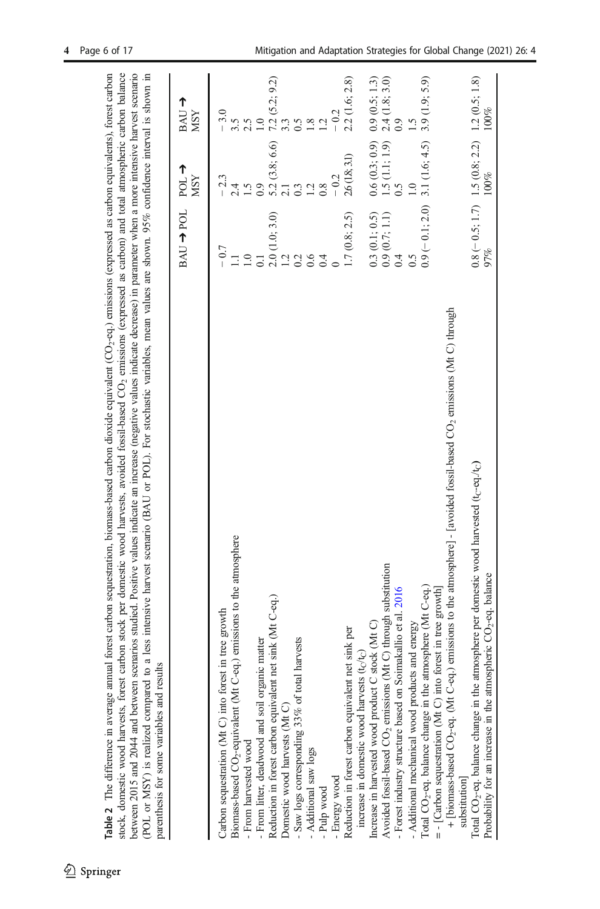<span id="page-5-0"></span>

| scenarios studied. Positive values indicate an increase (negative values indicate decrease) in parameter when a more intensive harvest scenario<br>stock, domestic wood harvests, forest carbon stock per domestic wood harvests, avoided fossil-based CO <sub>2</sub> emissions (expressed as carbon) and total atmospheric carbon balance<br>to a less intensive harvest scenario (BAU or POL). For stochastic variables, mean values are shown. 95% confidence interval is shown in<br>Table $2$ . The difference in average annual forest carbon sequestration, biomass-based carbon dioxide equivalent $(CO_2$ -eq.) emissions (expressed as carbon equivalents), forest carbon<br>parenthesis for some variables and results<br>between 2015 and 2044 and between<br>(POL or MSY) is realized compared |                                                                            |                                                             |                                                                            |
|--------------------------------------------------------------------------------------------------------------------------------------------------------------------------------------------------------------------------------------------------------------------------------------------------------------------------------------------------------------------------------------------------------------------------------------------------------------------------------------------------------------------------------------------------------------------------------------------------------------------------------------------------------------------------------------------------------------------------------------------------------------------------------------------------------------|----------------------------------------------------------------------------|-------------------------------------------------------------|----------------------------------------------------------------------------|
|                                                                                                                                                                                                                                                                                                                                                                                                                                                                                                                                                                                                                                                                                                                                                                                                              | <b>BAU → POL</b>                                                           | $\sum_{P}$<br><b>MSY</b>                                    | ↑<br>BAU.<br><b>MSY</b>                                                    |
| Carbon sequestration (Mt C) into forest in tree growth                                                                                                                                                                                                                                                                                                                                                                                                                                                                                                                                                                                                                                                                                                                                                       | $-0.7$                                                                     | $-2.3$                                                      | $-3.0$                                                                     |
| Biomass-based CO <sub>2</sub> -equivalent (Mt C-eq.) emissions to the atmosphere                                                                                                                                                                                                                                                                                                                                                                                                                                                                                                                                                                                                                                                                                                                             |                                                                            | 2.4                                                         |                                                                            |
| - From harvested wood                                                                                                                                                                                                                                                                                                                                                                                                                                                                                                                                                                                                                                                                                                                                                                                        | 1.0                                                                        | $\overline{.}$                                              |                                                                            |
| - From litter, deadwood and soil organic matter                                                                                                                                                                                                                                                                                                                                                                                                                                                                                                                                                                                                                                                                                                                                                              |                                                                            | 0.9                                                         |                                                                            |
| Reduction in forest carbon equivalent net sink (Mt C-eq.)                                                                                                                                                                                                                                                                                                                                                                                                                                                                                                                                                                                                                                                                                                                                                    | $\begin{array}{c} 2.0 \ (1.0; 3.0) \\ 1.2 \ 0.2 \end{array}$               | $5.2(3.8; 6.6)$<br>2.1                                      | $7.2$ (5.2; 9.2)<br>3.3                                                    |
| Domestic wood harvests (Mt C)                                                                                                                                                                                                                                                                                                                                                                                                                                                                                                                                                                                                                                                                                                                                                                                |                                                                            |                                                             |                                                                            |
| - Saw logs corresponding 33% of total harvests                                                                                                                                                                                                                                                                                                                                                                                                                                                                                                                                                                                                                                                                                                                                                               |                                                                            |                                                             | 0.5                                                                        |
| - Additional saw logs                                                                                                                                                                                                                                                                                                                                                                                                                                                                                                                                                                                                                                                                                                                                                                                        |                                                                            |                                                             | $\overline{\mathbf{8}}$                                                    |
| - Pulp wood                                                                                                                                                                                                                                                                                                                                                                                                                                                                                                                                                                                                                                                                                                                                                                                                  |                                                                            |                                                             | $\overline{c}$                                                             |
| - Energy wood                                                                                                                                                                                                                                                                                                                                                                                                                                                                                                                                                                                                                                                                                                                                                                                                |                                                                            | $-0.2$                                                      |                                                                            |
| net sink per<br>Reduction in forest carbon equivalent                                                                                                                                                                                                                                                                                                                                                                                                                                                                                                                                                                                                                                                                                                                                                        | 1.7(0.8; 2.5)                                                              | 26 (18, 3.1)                                                | 2.2 (1.6; 2.8)                                                             |
| increase in domestic wood harvests $(t_C/t_C)$                                                                                                                                                                                                                                                                                                                                                                                                                                                                                                                                                                                                                                                                                                                                                               |                                                                            |                                                             |                                                                            |
| Increase in harvested wood product C stock (Mt C)                                                                                                                                                                                                                                                                                                                                                                                                                                                                                                                                                                                                                                                                                                                                                            | $\begin{array}{c} 0.3\ (0.1;\ 0.5) \\ 0.9\ (0.7;\ 1.1) \\ 0.4 \end{array}$ |                                                             | $\begin{array}{c} 0.9 \ (0.5; 1.3) \\ 2.4 \ (1.8; 3.0) \\ 0.9 \end{array}$ |
| Avoided fossil-based CO <sub>2</sub> emissions (Mt C) through substitution                                                                                                                                                                                                                                                                                                                                                                                                                                                                                                                                                                                                                                                                                                                                   |                                                                            |                                                             |                                                                            |
| - Forest industry structure based on Soimakallio et al. 2016                                                                                                                                                                                                                                                                                                                                                                                                                                                                                                                                                                                                                                                                                                                                                 |                                                                            | 0.5                                                         |                                                                            |
| - Additional mechanical wood products and energy                                                                                                                                                                                                                                                                                                                                                                                                                                                                                                                                                                                                                                                                                                                                                             | 0.5                                                                        |                                                             |                                                                            |
| Total CO <sub>2</sub> -eq. balance change in the atmosphere (Mt C-eq.)                                                                                                                                                                                                                                                                                                                                                                                                                                                                                                                                                                                                                                                                                                                                       |                                                                            | $0.9(-0.1; 2.0)$ 3.1 (1.6; 4.5)                             | 3.9(1.9; 5.9)                                                              |
| $=$ - [Carbon sequestration (Mt C) into forest in tree growth]                                                                                                                                                                                                                                                                                                                                                                                                                                                                                                                                                                                                                                                                                                                                               |                                                                            |                                                             |                                                                            |
| + [biomass-based CO <sub>2</sub> -eq. (Mt C-eq.) emissions to the atmosphere] - [avoided fossil-based CO <sub>2</sub> emissions (Mt C) through<br>substitution]                                                                                                                                                                                                                                                                                                                                                                                                                                                                                                                                                                                                                                              |                                                                            |                                                             |                                                                            |
| Total CO <sub>2</sub> -eq. balance change in the atmosphere per domestic wood harvested (t <sub>C</sub> -eq./t <sub>C</sub> )<br>Probability for an increase in the atmospheric $CO2$ -eq. balance                                                                                                                                                                                                                                                                                                                                                                                                                                                                                                                                                                                                           | 97%                                                                        | $0.8 (-0.5; 1.7)$ 1.5 $(0.8; 2.2)$ 1.2 $(0.5; 1.8)$<br>100% | 100%                                                                       |
|                                                                                                                                                                                                                                                                                                                                                                                                                                                                                                                                                                                                                                                                                                                                                                                                              |                                                                            |                                                             |                                                                            |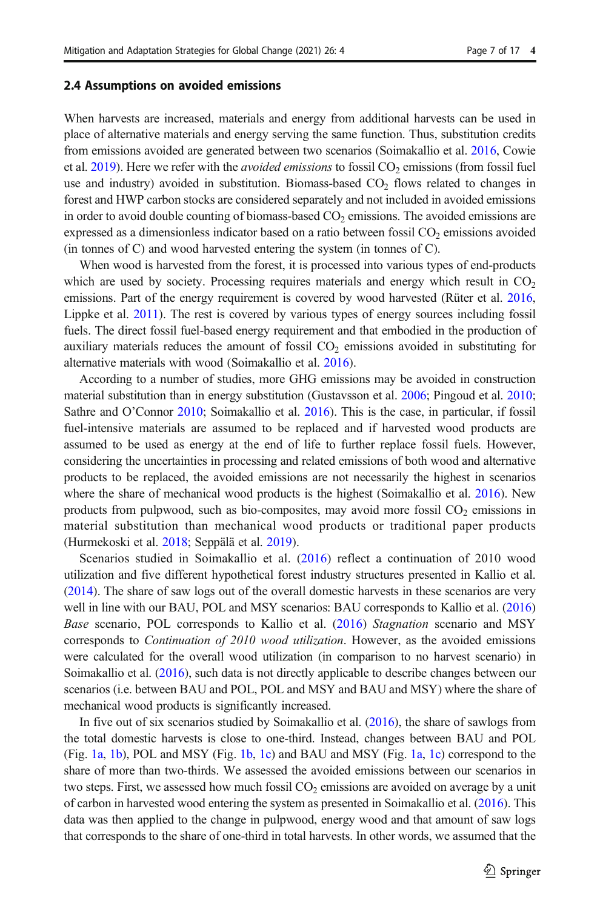#### 2.4 Assumptions on avoided emissions

When harvests are increased, materials and energy from additional harvests can be used in place of alternative materials and energy serving the same function. Thus, substitution credits from emissions avoided are generated between two scenarios (Soimakallio et al. [2016,](#page-16-0) Cowie et al. [2019](#page-14-0)). Here we refer with the *avoided emissions* to fossil  $CO<sub>2</sub>$  emissions (from fossil fuel use and industry) avoided in substitution. Biomass-based  $CO<sub>2</sub>$  flows related to changes in forest and HWP carbon stocks are considered separately and not included in avoided emissions in order to avoid double counting of biomass-based  $CO<sub>2</sub>$  emissions. The avoided emissions are expressed as a dimensionless indicator based on a ratio between fossil  $CO<sub>2</sub>$  emissions avoided (in tonnes of C) and wood harvested entering the system (in tonnes of C).

When wood is harvested from the forest, it is processed into various types of end-products which are used by society. Processing requires materials and energy which result in  $CO<sub>2</sub>$ emissions. Part of the energy requirement is covered by wood harvested (Rüter et al. [2016](#page-15-0), Lippke et al. [2011](#page-15-0)). The rest is covered by various types of energy sources including fossil fuels. The direct fossil fuel-based energy requirement and that embodied in the production of auxiliary materials reduces the amount of fossil  $CO<sub>2</sub>$  emissions avoided in substituting for alternative materials with wood (Soimakallio et al. [2016\)](#page-16-0).

According to a number of studies, more GHG emissions may be avoided in construction material substitution than in energy substitution (Gustavsson et al. [2006](#page-14-0); Pingoud et al. [2010](#page-15-0); Sathre and O'Connor [2010;](#page-16-0) Soimakallio et al. [2016\)](#page-16-0). This is the case, in particular, if fossil fuel-intensive materials are assumed to be replaced and if harvested wood products are assumed to be used as energy at the end of life to further replace fossil fuels. However, considering the uncertainties in processing and related emissions of both wood and alternative products to be replaced, the avoided emissions are not necessarily the highest in scenarios where the share of mechanical wood products is the highest (Soimakallio et al. [2016\)](#page-16-0). New products from pulpwood, such as bio-composites, may avoid more fossil  $CO<sub>2</sub>$  emissions in material substitution than mechanical wood products or traditional paper products (Hurmekoski et al. [2018](#page-14-0); Seppälä et al. [2019](#page-16-0)).

Scenarios studied in Soimakallio et al. ([2016\)](#page-16-0) reflect a continuation of 2010 wood utilization and five different hypothetical forest industry structures presented in Kallio et al. ([2014](#page-15-0)). The share of saw logs out of the overall domestic harvests in these scenarios are very well in line with our BAU, POL and MSY scenarios: BAU corresponds to Kallio et al. [\(2016\)](#page-15-0) Base scenario, POL corresponds to Kallio et al. ([2016\)](#page-15-0) Stagnation scenario and MSY corresponds to *Continuation of 2010 wood utilization*. However, as the avoided emissions were calculated for the overall wood utilization (in comparison to no harvest scenario) in Soimakallio et al. ([2016](#page-16-0)), such data is not directly applicable to describe changes between our scenarios (i.e. between BAU and POL, POL and MSY and BAU and MSY) where the share of mechanical wood products is significantly increased.

In five out of six scenarios studied by Soimakallio et al. [\(2016\)](#page-16-0), the share of sawlogs from the total domestic harvests is close to one-third. Instead, changes between BAU and POL (Fig. [1a](#page-7-0), [1b\)](#page-7-0), POL and MSY (Fig. [1b](#page-7-0), [1c\)](#page-7-0) and BAU and MSY (Fig. [1a](#page-7-0), [1c\)](#page-7-0) correspond to the share of more than two-thirds. We assessed the avoided emissions between our scenarios in two steps. First, we assessed how much fossil  $CO<sub>2</sub>$  emissions are avoided on average by a unit of carbon in harvested wood entering the system as presented in Soimakallio et al. [\(2016\)](#page-16-0). This data was then applied to the change in pulpwood, energy wood and that amount of saw logs that corresponds to the share of one-third in total harvests. In other words, we assumed that the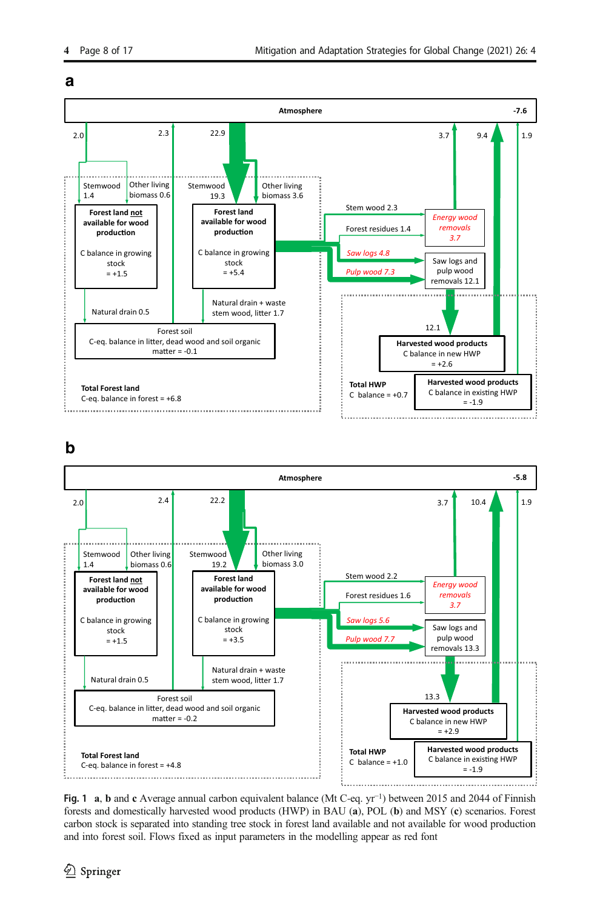<span id="page-7-0"></span>







Fig. 1 a, b and c Average annual carbon equivalent balance (Mt C-eq. yr<sup>−</sup>1) between 2015 and 2044 of Finnish forests and domestically harvested wood products (HWP) in BAU (a), POL (b) and MSY (c) scenarios. Forest carbon stock is separated into standing tree stock in forest land available and not available for wood production and into forest soil. Flows fixed as input parameters in the modelling appear as red font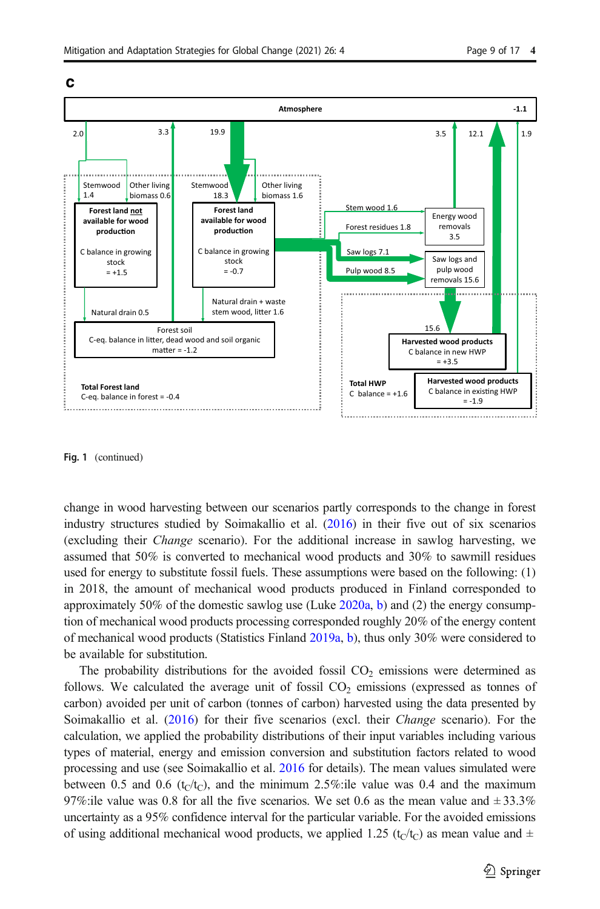



Fig. 1 (continued)

change in wood harvesting between our scenarios partly corresponds to the change in forest industry structures studied by Soimakallio et al. ([2016](#page-16-0)) in their five out of six scenarios (excluding their Change scenario). For the additional increase in sawlog harvesting, we assumed that 50% is converted to mechanical wood products and 30% to sawmill residues used for energy to substitute fossil fuels. These assumptions were based on the following: (1) in 2018, the amount of mechanical wood products produced in Finland corresponded to approximately 50% of the domestic sawlog use (Luke  $2020a$ , [b\)](#page-15-0) and (2) the energy consumption of mechanical wood products processing corresponded roughly 20% of the energy content of mechanical wood products (Statistics Finland [2019a,](#page-16-0) [b\)](#page-16-0), thus only 30% were considered to be available for substitution.

The probability distributions for the avoided fossil  $CO<sub>2</sub>$  emissions were determined as follows. We calculated the average unit of fossil  $CO<sub>2</sub>$  emissions (expressed as tonnes of carbon) avoided per unit of carbon (tonnes of carbon) harvested using the data presented by Soimakallio et al. [\(2016](#page-16-0)) for their five scenarios (excl. their Change scenario). For the calculation, we applied the probability distributions of their input variables including various types of material, energy and emission conversion and substitution factors related to wood processing and use (see Soimakallio et al. [2016](#page-16-0) for details). The mean values simulated were between 0.5 and 0.6 ( $t_C/t_C$ ), and the minimum 2.5%:ile value was 0.4 and the maximum 97%:ile value was 0.8 for all the five scenarios. We set 0.6 as the mean value and  $\pm$  33.3% uncertainty as a 95% confidence interval for the particular variable. For the avoided emissions of using additional mechanical wood products, we applied 1.25 (t<sub>C</sub>/t<sub>C</sub>) as mean value and  $\pm$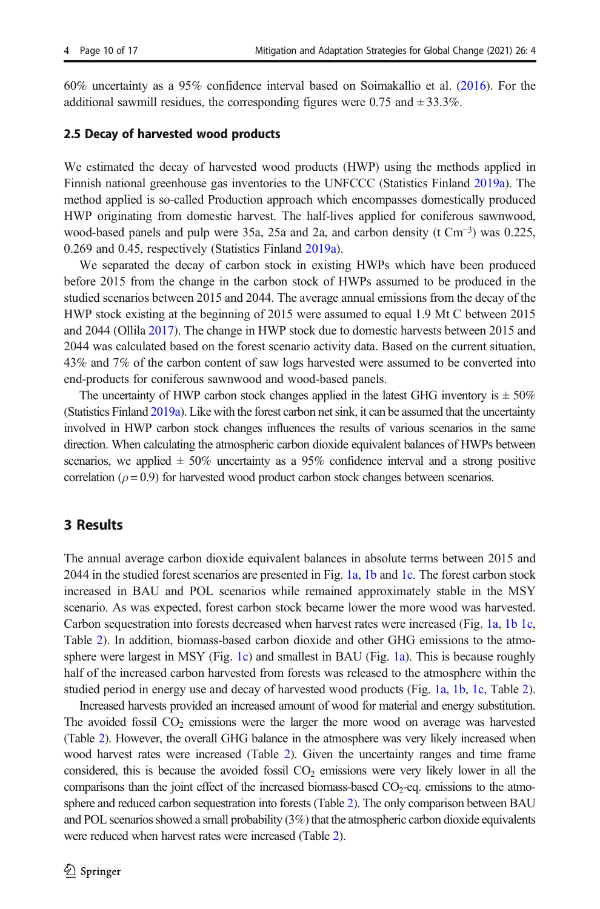60% uncertainty as a 95% confidence interval based on Soimakallio et al. ([2016](#page-16-0)). For the additional sawmill residues, the corresponding figures were 0.75 and  $\pm$  33.3%.

#### 2.5 Decay of harvested wood products

We estimated the decay of harvested wood products (HWP) using the methods applied in Finnish national greenhouse gas inventories to the UNFCCC (Statistics Finland [2019a\)](#page-16-0). The method applied is so-called Production approach which encompasses domestically produced HWP originating from domestic harvest. The half-lives applied for coniferous sawnwood, wood-based panels and pulp were 35a, 25a and 2a, and carbon density (t Cm<sup>−</sup>3) was 0.225, 0.269 and 0.45, respectively (Statistics Finland [2019a](#page-16-0)).

We separated the decay of carbon stock in existing HWPs which have been produced before 2015 from the change in the carbon stock of HWPs assumed to be produced in the studied scenarios between 2015 and 2044. The average annual emissions from the decay of the HWP stock existing at the beginning of 2015 were assumed to equal 1.9 Mt C between 2015 and 2044 (Ollila [2017](#page-15-0)). The change in HWP stock due to domestic harvests between 2015 and 2044 was calculated based on the forest scenario activity data. Based on the current situation, 43% and 7% of the carbon content of saw logs harvested were assumed to be converted into end-products for coniferous sawnwood and wood-based panels.

The uncertainty of HWP carbon stock changes applied in the latest GHG inventory is  $\pm 50\%$ (Statistics Finland [2019a](#page-16-0)). Like with the forest carbon net sink, it can be assumed that the uncertainty involved in HWP carbon stock changes influences the results of various scenarios in the same direction. When calculating the atmospheric carbon dioxide equivalent balances of HWPs between scenarios, we applied  $\pm$  50% uncertainty as a 95% confidence interval and a strong positive correlation ( $\rho = 0.9$ ) for harvested wood product carbon stock changes between scenarios.

# 3 Results

The annual average carbon dioxide equivalent balances in absolute terms between 2015 and 2044 in the studied forest scenarios are presented in Fig. [1a](#page-7-0), [1b](#page-7-0) and [1c](#page-7-0). The forest carbon stock increased in BAU and POL scenarios while remained approximately stable in the MSY scenario. As was expected, forest carbon stock became lower the more wood was harvested. Carbon sequestration into forests decreased when harvest rates were increased (Fig. [1a](#page-7-0), [1b 1c](#page-7-0), Table [2](#page-5-0)). In addition, biomass-based carbon dioxide and other GHG emissions to the atmo-sphere were largest in MSY (Fig. [1c\)](#page-7-0) and smallest in BAU (Fig. [1a\)](#page-7-0). This is because roughly half of the increased carbon harvested from forests was released to the atmosphere within the studied period in energy use and decay of harvested wood products (Fig. [1a,](#page-7-0) [1b](#page-7-0), [1c,](#page-7-0) Table [2](#page-5-0)).

Increased harvests provided an increased amount of wood for material and energy substitution. The avoided fossil  $CO<sub>2</sub>$  emissions were the larger the more wood on average was harvested (Table [2\)](#page-5-0). However, the overall GHG balance in the atmosphere was very likely increased when wood harvest rates were increased (Table [2\)](#page-5-0). Given the uncertainty ranges and time frame considered, this is because the avoided fossil  $CO<sub>2</sub>$  emissions were very likely lower in all the comparisons than the joint effect of the increased biomass-based  $CO<sub>2</sub>$ -eq. emissions to the atmosphere and reduced carbon sequestration into forests (Table [2\)](#page-5-0). The only comparison between BAU and POL scenarios showed a small probability (3%) that the atmospheric carbon dioxide equivalents were reduced when harvest rates were increased (Table [2](#page-5-0)).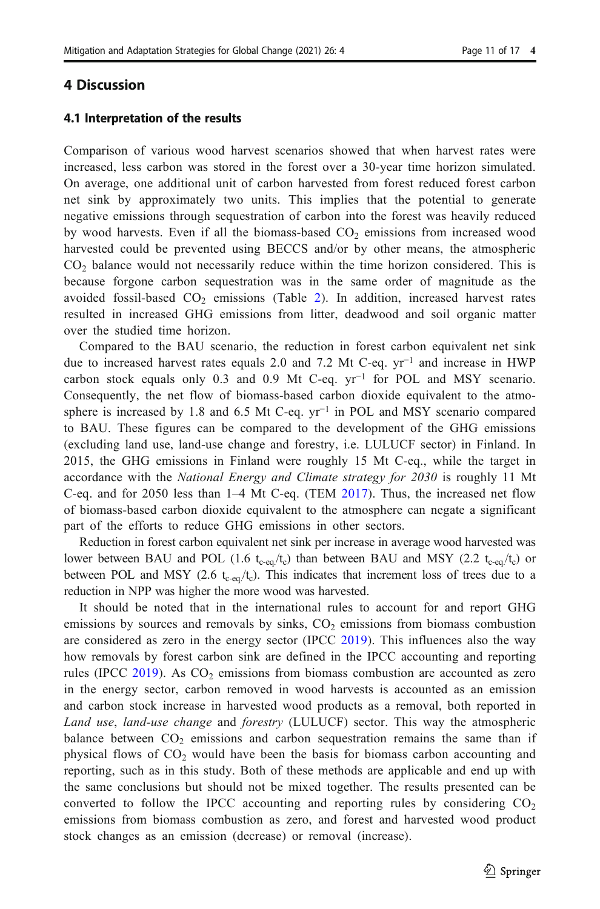# 4 Discussion

#### 4.1 Interpretation of the results

Comparison of various wood harvest scenarios showed that when harvest rates were increased, less carbon was stored in the forest over a 30-year time horizon simulated. On average, one additional unit of carbon harvested from forest reduced forest carbon net sink by approximately two units. This implies that the potential to generate negative emissions through sequestration of carbon into the forest was heavily reduced by wood harvests. Even if all the biomass-based  $CO<sub>2</sub>$  emissions from increased wood harvested could be prevented using BECCS and/or by other means, the atmospheric  $CO<sub>2</sub>$  balance would not necessarily reduce within the time horizon considered. This is because forgone carbon sequestration was in the same order of magnitude as the avoided fossil-based  $CO<sub>2</sub>$  $CO<sub>2</sub>$  $CO<sub>2</sub>$  emissions (Table 2). In addition, increased harvest rates resulted in increased GHG emissions from litter, deadwood and soil organic matter over the studied time horizon.

Compared to the BAU scenario, the reduction in forest carbon equivalent net sink due to increased harvest rates equals 2.0 and 7.2 Mt C-eq. yr<sup>−</sup><sup>1</sup> and increase in HWP carbon stock equals only 0.3 and 0.9 Mt C-eq. yr<sup>-1</sup> for POL and MSY scenario. Consequently, the net flow of biomass-based carbon dioxide equivalent to the atmosphere is increased by 1.8 and 6.5 Mt C-eq. yr<sup>-1</sup> in POL and MSY scenario compared to BAU. These figures can be compared to the development of the GHG emissions (excluding land use, land-use change and forestry, i.e. LULUCF sector) in Finland. In 2015, the GHG emissions in Finland were roughly 15 Mt C-eq., while the target in accordance with the *National Energy and Climate strategy for 2030* is roughly 11 Mt C-eq. and for 2050 less than 1–4 Mt C-eq. (TEM [2017\)](#page-16-0). Thus, the increased net flow of biomass-based carbon dioxide equivalent to the atmosphere can negate a significant part of the efforts to reduce GHG emissions in other sectors.

Reduction in forest carbon equivalent net sink per increase in average wood harvested was lower between BAU and POL (1.6  $t_{c\text{-eq}}/t_c$ ) than between BAU and MSY (2.2  $t_{c\text{-eq}}/t_c$ ) or between POL and MSY (2.6  $t_{c-eq}/t_c$ ). This indicates that increment loss of trees due to a reduction in NPP was higher the more wood was harvested.

It should be noted that in the international rules to account for and report GHG emissions by sources and removals by sinks,  $CO<sub>2</sub>$  emissions from biomass combustion are considered as zero in the energy sector (IPCC [2019](#page-15-0)). This influences also the way how removals by forest carbon sink are defined in the IPCC accounting and reporting rules (IPCC [2019](#page-15-0)). As  $CO<sub>2</sub>$  emissions from biomass combustion are accounted as zero in the energy sector, carbon removed in wood harvests is accounted as an emission and carbon stock increase in harvested wood products as a removal, both reported in Land use, land-use change and forestry (LULUCF) sector. This way the atmospheric balance between  $CO<sub>2</sub>$  emissions and carbon sequestration remains the same than if physical flows of  $CO<sub>2</sub>$  would have been the basis for biomass carbon accounting and reporting, such as in this study. Both of these methods are applicable and end up with the same conclusions but should not be mixed together. The results presented can be converted to follow the IPCC accounting and reporting rules by considering  $CO<sub>2</sub>$ emissions from biomass combustion as zero, and forest and harvested wood product stock changes as an emission (decrease) or removal (increase).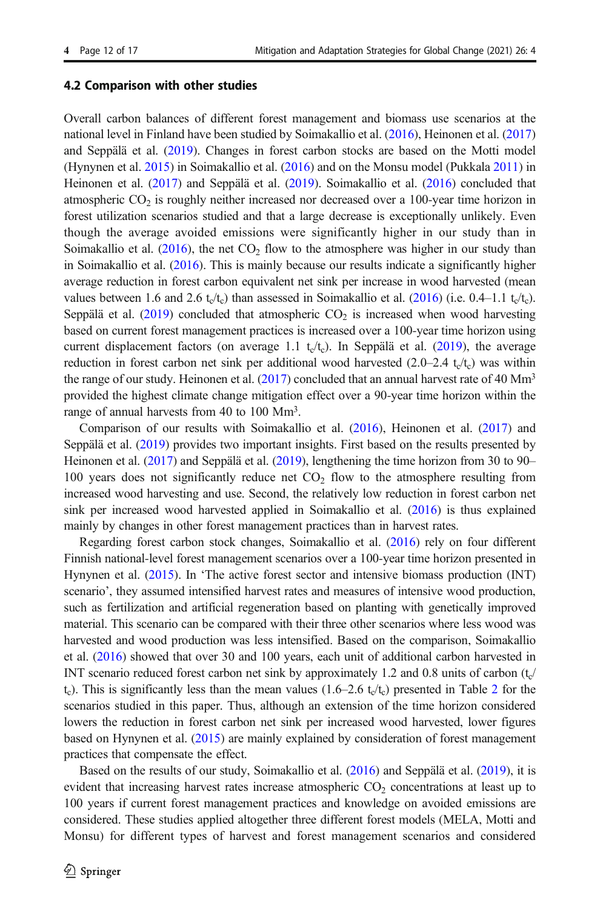#### 4.2 Comparison with other studies

Overall carbon balances of different forest management and biomass use scenarios at the national level in Finland have been studied by Soimakallio et al. ([2016](#page-16-0)), Heinonen et al. [\(2017\)](#page-14-0) and Seppälä et al. [\(2019](#page-16-0)). Changes in forest carbon stocks are based on the Motti model (Hynynen et al. [2015](#page-15-0)) in Soimakallio et al. ([2016](#page-16-0)) and on the Monsu model (Pukkala [2011](#page-15-0)) in Heinonen et al. ([2017](#page-14-0)) and Seppälä et al. ([2019](#page-16-0)). Soimakallio et al. [\(2016\)](#page-16-0) concluded that atmospheric  $CO<sub>2</sub>$  is roughly neither increased nor decreased over a 100-year time horizon in forest utilization scenarios studied and that a large decrease is exceptionally unlikely. Even though the average avoided emissions were significantly higher in our study than in Soimakallio et al.  $(2016)$  $(2016)$  $(2016)$ , the net CO<sub>2</sub> flow to the atmosphere was higher in our study than in Soimakallio et al. [\(2016\)](#page-16-0). This is mainly because our results indicate a significantly higher average reduction in forest carbon equivalent net sink per increase in wood harvested (mean values between 1.6 and 2.6 t<sub>c</sub>/t<sub>c</sub>) than assessed in Soimakallio et al. ([2016](#page-16-0)) (i.e. 0.4–1.1 t<sub>c</sub>/t<sub>c</sub>). Seppälä et al. [\(2019\)](#page-16-0) concluded that atmospheric  $CO<sub>2</sub>$  is increased when wood harvesting based on current forest management practices is increased over a 100-year time horizon using current displacement factors (on average 1.1  $t_c/t_c$ ). In Seppälä et al. [\(2019\)](#page-16-0), the average reduction in forest carbon net sink per additional wood harvested  $(2.0-2.4 \text{ tc}/t_c)$  was within the range of our study. Heinonen et al.  $(2017)$  $(2017)$  $(2017)$  concluded that an annual harvest rate of 40 Mm<sup>3</sup> provided the highest climate change mitigation effect over a 90-year time horizon within the range of annual harvests from 40 to 100 Mm3.

Comparison of our results with Soimakallio et al. ([2016](#page-16-0)), Heinonen et al. [\(2017](#page-14-0)) and Seppälä et al. ([2019](#page-16-0)) provides two important insights. First based on the results presented by Heinonen et al. [\(2017\)](#page-14-0) and Seppälä et al. ([2019\)](#page-16-0), lengthening the time horizon from 30 to 90– 100 years does not significantly reduce net  $CO<sub>2</sub>$  flow to the atmosphere resulting from increased wood harvesting and use. Second, the relatively low reduction in forest carbon net sink per increased wood harvested applied in Soimakallio et al. ([2016](#page-16-0)) is thus explained mainly by changes in other forest management practices than in harvest rates.

Regarding forest carbon stock changes, Soimakallio et al. [\(2016\)](#page-16-0) rely on four different Finnish national-level forest management scenarios over a 100-year time horizon presented in Hynynen et al. [\(2015\)](#page-15-0). In 'The active forest sector and intensive biomass production (INT) scenario', they assumed intensified harvest rates and measures of intensive wood production, such as fertilization and artificial regeneration based on planting with genetically improved material. This scenario can be compared with their three other scenarios where less wood was harvested and wood production was less intensified. Based on the comparison, Soimakallio et al. [\(2016\)](#page-16-0) showed that over 30 and 100 years, each unit of additional carbon harvested in INT scenario reduced forest carbon net sink by approximately 1.2 and 0.8 units of carbon  $(t_c)$ t<sub>c</sub>). This is significantly less than the mean values (1.6–[2](#page-5-0).6 t<sub>c</sub>/t<sub>c</sub>) presented in Table 2 for the scenarios studied in this paper. Thus, although an extension of the time horizon considered lowers the reduction in forest carbon net sink per increased wood harvested, lower figures based on Hynynen et al. [\(2015\)](#page-15-0) are mainly explained by consideration of forest management practices that compensate the effect.

Based on the results of our study, Soimakallio et al. ([2016](#page-16-0)) and Seppälä et al. [\(2019\)](#page-16-0), it is evident that increasing harvest rates increase atmospheric  $CO<sub>2</sub>$  concentrations at least up to 100 years if current forest management practices and knowledge on avoided emissions are considered. These studies applied altogether three different forest models (MELA, Motti and Monsu) for different types of harvest and forest management scenarios and considered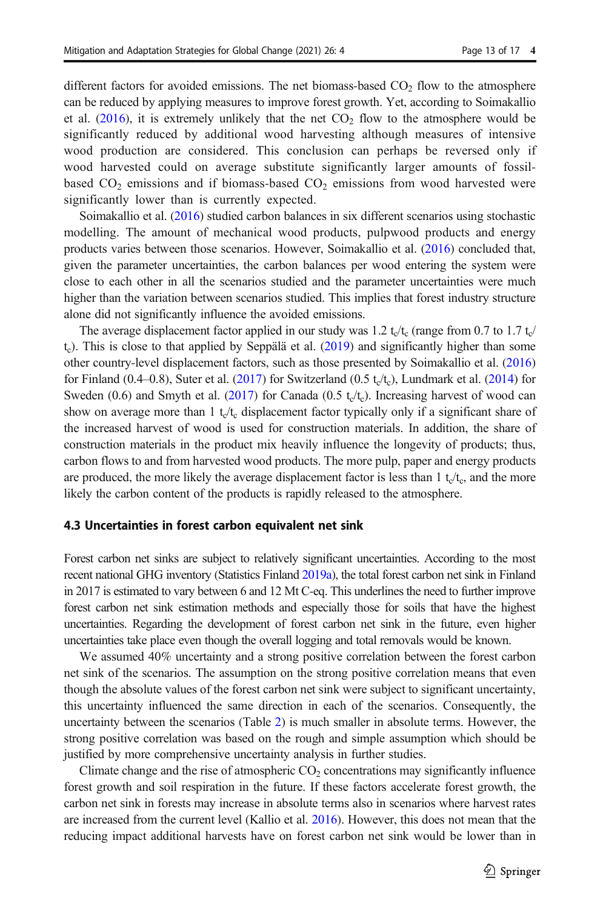different factors for avoided emissions. The net biomass-based  $CO<sub>2</sub>$  flow to the atmosphere can be reduced by applying measures to improve forest growth. Yet, according to Soimakallio et al.  $(2016)$ , it is extremely unlikely that the net  $CO<sub>2</sub>$  flow to the atmosphere would be significantly reduced by additional wood harvesting although measures of intensive wood production are considered. This conclusion can perhaps be reversed only if wood harvested could on average substitute significantly larger amounts of fossilbased  $CO<sub>2</sub>$  emissions and if biomass-based  $CO<sub>2</sub>$  emissions from wood harvested were significantly lower than is currently expected.

Soimakallio et al. ([2016](#page-16-0)) studied carbon balances in six different scenarios using stochastic modelling. The amount of mechanical wood products, pulpwood products and energy products varies between those scenarios. However, Soimakallio et al. [\(2016\)](#page-16-0) concluded that, given the parameter uncertainties, the carbon balances per wood entering the system were close to each other in all the scenarios studied and the parameter uncertainties were much higher than the variation between scenarios studied. This implies that forest industry structure alone did not significantly influence the avoided emissions.

The average displacement factor applied in our study was 1.2 t<sub>c</sub>/t<sub>c</sub> (range from 0.7 to 1.7 t<sub>c</sub>/  $t_c$ ). This is close to that applied by Seppälä et al. ([2019](#page-16-0)) and significantly higher than some other country-level displacement factors, such as those presented by Soimakallio et al. [\(2016\)](#page-16-0) for Finland (0.4–0.8), Suter et al. [\(2017\)](#page-16-0) for Switzerland (0.5 t<sub>c</sub>/t<sub>c</sub>), Lundmark et al. [\(2014\)](#page-15-0) for Sweden (0.6) and Smyth et al. [\(2017\)](#page-16-0) for Canada (0.5 t<sub>c</sub>/t<sub>c</sub>). Increasing harvest of wood can show on average more than 1  $t_c/t_c$  displacement factor typically only if a significant share of the increased harvest of wood is used for construction materials. In addition, the share of construction materials in the product mix heavily influence the longevity of products; thus, carbon flows to and from harvested wood products. The more pulp, paper and energy products are produced, the more likely the average displacement factor is less than  $1 t_c/t_c$ , and the more likely the carbon content of the products is rapidly released to the atmosphere.

#### 4.3 Uncertainties in forest carbon equivalent net sink

Forest carbon net sinks are subject to relatively significant uncertainties. According to the most recent national GHG inventory (Statistics Finland [2019a\)](#page-16-0), the total forest carbon net sink in Finland in 2017 is estimated to vary between 6 and 12 Mt C-eq. This underlines the need to further improve forest carbon net sink estimation methods and especially those for soils that have the highest uncertainties. Regarding the development of forest carbon net sink in the future, even higher uncertainties take place even though the overall logging and total removals would be known.

We assumed 40% uncertainty and a strong positive correlation between the forest carbon net sink of the scenarios. The assumption on the strong positive correlation means that even though the absolute values of the forest carbon net sink were subject to significant uncertainty, this uncertainty influenced the same direction in each of the scenarios. Consequently, the uncertainty between the scenarios (Table [2](#page-5-0)) is much smaller in absolute terms. However, the strong positive correlation was based on the rough and simple assumption which should be justified by more comprehensive uncertainty analysis in further studies.

Climate change and the rise of atmospheric  $CO<sub>2</sub>$  concentrations may significantly influence forest growth and soil respiration in the future. If these factors accelerate forest growth, the carbon net sink in forests may increase in absolute terms also in scenarios where harvest rates are increased from the current level (Kallio et al. [2016](#page-15-0)). However, this does not mean that the reducing impact additional harvests have on forest carbon net sink would be lower than in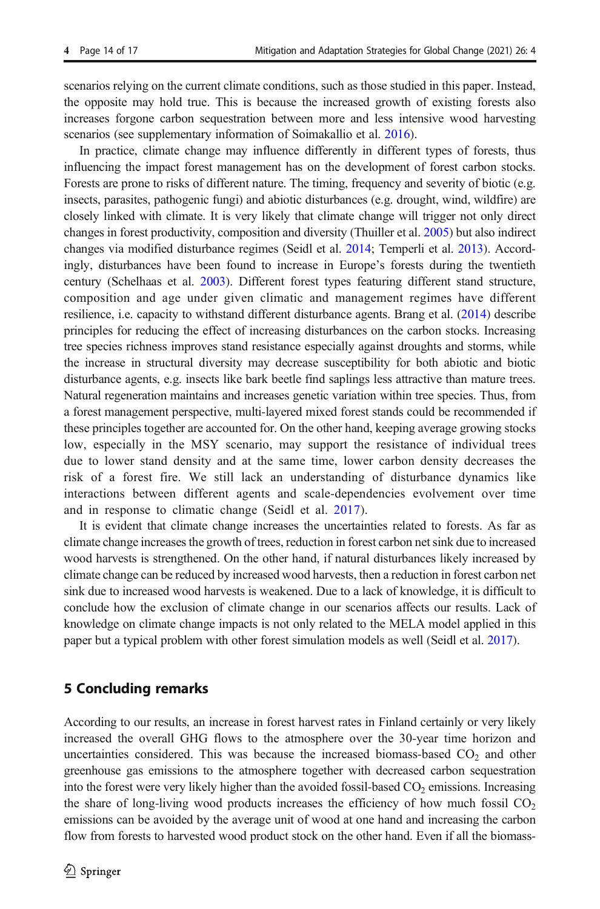scenarios relying on the current climate conditions, such as those studied in this paper. Instead, the opposite may hold true. This is because the increased growth of existing forests also increases forgone carbon sequestration between more and less intensive wood harvesting scenarios (see supplementary information of Soimakallio et al. [2016](#page-16-0)).

In practice, climate change may influence differently in different types of forests, thus influencing the impact forest management has on the development of forest carbon stocks. Forests are prone to risks of different nature. The timing, frequency and severity of biotic (e.g. insects, parasites, pathogenic fungi) and abiotic disturbances (e.g. drought, wind, wildfire) are closely linked with climate. It is very likely that climate change will trigger not only direct changes in forest productivity, composition and diversity (Thuiller et al. [2005\)](#page-16-0) but also indirect changes via modified disturbance regimes (Seidl et al. [2014;](#page-16-0) Temperli et al. [2013](#page-16-0)). Accordingly, disturbances have been found to increase in Europe's forests during the twentieth century (Schelhaas et al. [2003](#page-16-0)). Different forest types featuring different stand structure, composition and age under given climatic and management regimes have different resilience, i.e. capacity to withstand different disturbance agents. Brang et al. ([2014](#page-14-0)) describe principles for reducing the effect of increasing disturbances on the carbon stocks. Increasing tree species richness improves stand resistance especially against droughts and storms, while the increase in structural diversity may decrease susceptibility for both abiotic and biotic disturbance agents, e.g. insects like bark beetle find saplings less attractive than mature trees. Natural regeneration maintains and increases genetic variation within tree species. Thus, from a forest management perspective, multi-layered mixed forest stands could be recommended if these principles together are accounted for. On the other hand, keeping average growing stocks low, especially in the MSY scenario, may support the resistance of individual trees due to lower stand density and at the same time, lower carbon density decreases the risk of a forest fire. We still lack an understanding of disturbance dynamics like interactions between different agents and scale-dependencies evolvement over time and in response to climatic change (Seidl et al. [2017](#page-16-0)).

It is evident that climate change increases the uncertainties related to forests. As far as climate change increases the growth of trees, reduction in forest carbon net sink due to increased wood harvests is strengthened. On the other hand, if natural disturbances likely increased by climate change can be reduced by increased wood harvests, then a reduction in forest carbon net sink due to increased wood harvests is weakened. Due to a lack of knowledge, it is difficult to conclude how the exclusion of climate change in our scenarios affects our results. Lack of knowledge on climate change impacts is not only related to the MELA model applied in this paper but a typical problem with other forest simulation models as well (Seidl et al. [2017\)](#page-16-0).

# 5 Concluding remarks

According to our results, an increase in forest harvest rates in Finland certainly or very likely increased the overall GHG flows to the atmosphere over the 30-year time horizon and uncertainties considered. This was because the increased biomass-based  $CO<sub>2</sub>$  and other greenhouse gas emissions to the atmosphere together with decreased carbon sequestration into the forest were very likely higher than the avoided fossil-based  $CO<sub>2</sub>$  emissions. Increasing the share of long-living wood products increases the efficiency of how much fossil  $CO<sub>2</sub>$ emissions can be avoided by the average unit of wood at one hand and increasing the carbon flow from forests to harvested wood product stock on the other hand. Even if all the biomass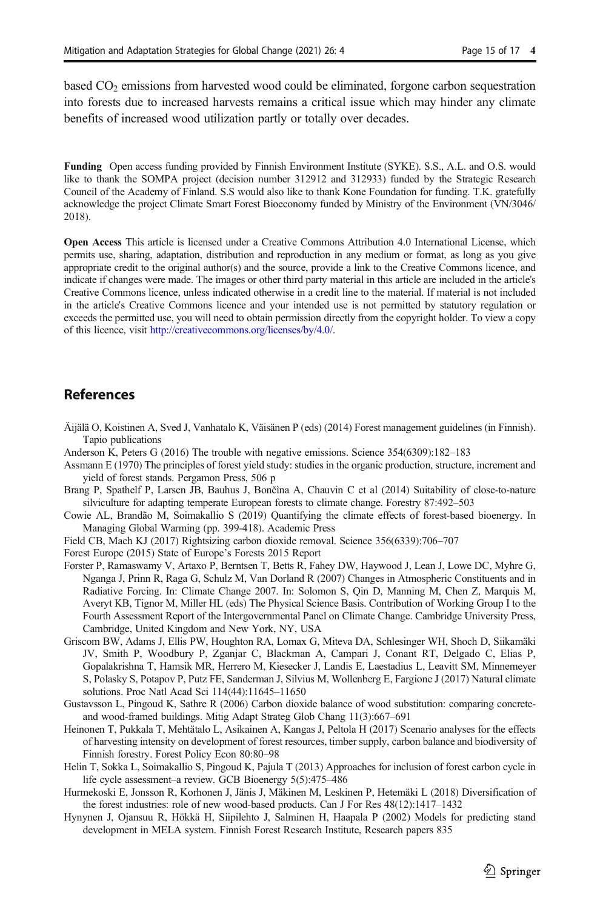<span id="page-14-0"></span>based  $CO<sub>2</sub>$  emissions from harvested wood could be eliminated, forgone carbon sequestration into forests due to increased harvests remains a critical issue which may hinder any climate benefits of increased wood utilization partly or totally over decades.

Funding Open access funding provided by Finnish Environment Institute (SYKE). S.S., A.L. and O.S. would like to thank the SOMPA project (decision number 312912 and 312933) funded by the Strategic Research Council of the Academy of Finland. S.S would also like to thank Kone Foundation for funding. T.K. gratefully acknowledge the project Climate Smart Forest Bioeconomy funded by Ministry of the Environment (VN/3046/ 2018).

Open Access This article is licensed under a Creative Commons Attribution 4.0 International License, which permits use, sharing, adaptation, distribution and reproduction in any medium or format, as long as you give appropriate credit to the original author(s) and the source, provide a link to the Creative Commons licence, and indicate if changes were made. The images or other third party material in this article are included in the article's Creative Commons licence, unless indicated otherwise in a credit line to the material. If material is not included in the article's Creative Commons licence and your intended use is not permitted by statutory regulation or exceeds the permitted use, you will need to obtain permission directly from the copyright holder. To view a copy of this licence, visit [http://creativecommons.org/licenses/by/4.0/.](http://creativecommons.org/licenses/by/4.0/)

# **References**

- Äijälä O, Koistinen A, Sved J, Vanhatalo K, Väisänen P (eds) (2014) Forest management guidelines (in Finnish). Tapio publications
- Anderson K, Peters G (2016) The trouble with negative emissions. Science 354(6309):182–183
- Assmann E (1970) The principles of forest yield study: studies in the organic production, structure, increment and yield of forest stands. Pergamon Press, 506 p
- Brang P, Spathelf P, Larsen JB, Bauhus J, Bončìna A, Chauvin C et al (2014) Suitability of close-to-nature silviculture for adapting temperate European forests to climate change. Forestry 87:492–503
- Cowie AL, Brandão M, Soimakallio S (2019) Quantifying the climate effects of forest-based bioenergy. In Managing Global Warming (pp. 399-418). Academic Press
- Field CB, Mach KJ (2017) Rightsizing carbon dioxide removal. Science 356(6339):706–707
- Forest Europe (2015) State of Europe's Forests 2015 Report
- Forster P, Ramaswamy V, Artaxo P, Berntsen T, Betts R, Fahey DW, Haywood J, Lean J, Lowe DC, Myhre G, Nganga J, Prinn R, Raga G, Schulz M, Van Dorland R (2007) Changes in Atmospheric Constituents and in Radiative Forcing. In: Climate Change 2007. In: Solomon S, Qin D, Manning M, Chen Z, Marquis M, Averyt KB, Tignor M, Miller HL (eds) The Physical Science Basis. Contribution of Working Group I to the Fourth Assessment Report of the Intergovernmental Panel on Climate Change. Cambridge University Press, Cambridge, United Kingdom and New York, NY, USA
- Griscom BW, Adams J, Ellis PW, Houghton RA, Lomax G, Miteva DA, Schlesinger WH, Shoch D, Siikamäki JV, Smith P, Woodbury P, Zganjar C, Blackman A, Campari J, Conant RT, Delgado C, Elias P, Gopalakrishna T, Hamsik MR, Herrero M, Kiesecker J, Landis E, Laestadius L, Leavitt SM, Minnemeyer S, Polasky S, Potapov P, Putz FE, Sanderman J, Silvius M, Wollenberg E, Fargione J (2017) Natural climate solutions. Proc Natl Acad Sci 114(44):11645–11650
- Gustavsson L, Pingoud K, Sathre R (2006) Carbon dioxide balance of wood substitution: comparing concreteand wood-framed buildings. Mitig Adapt Strateg Glob Chang 11(3):667–691
- Heinonen T, Pukkala T, Mehtätalo L, Asikainen A, Kangas J, Peltola H (2017) Scenario analyses for the effects of harvesting intensity on development of forest resources, timber supply, carbon balance and biodiversity of Finnish forestry. Forest Policy Econ 80:80–98
- Helin T, Sokka L, Soimakallio S, Pingoud K, Pajula T (2013) Approaches for inclusion of forest carbon cycle in life cycle assessment–a review. GCB Bioenergy 5(5):475–486
- Hurmekoski E, Jonsson R, Korhonen J, Jänis J, Mäkinen M, Leskinen P, Hetemäki L (2018) Diversification of the forest industries: role of new wood-based products. Can J For Res 48(12):1417–1432
- Hynynen J, Ojansuu R, Hökkä H, Siipilehto J, Salminen H, Haapala P (2002) Models for predicting stand development in MELA system. Finnish Forest Research Institute, Research papers 835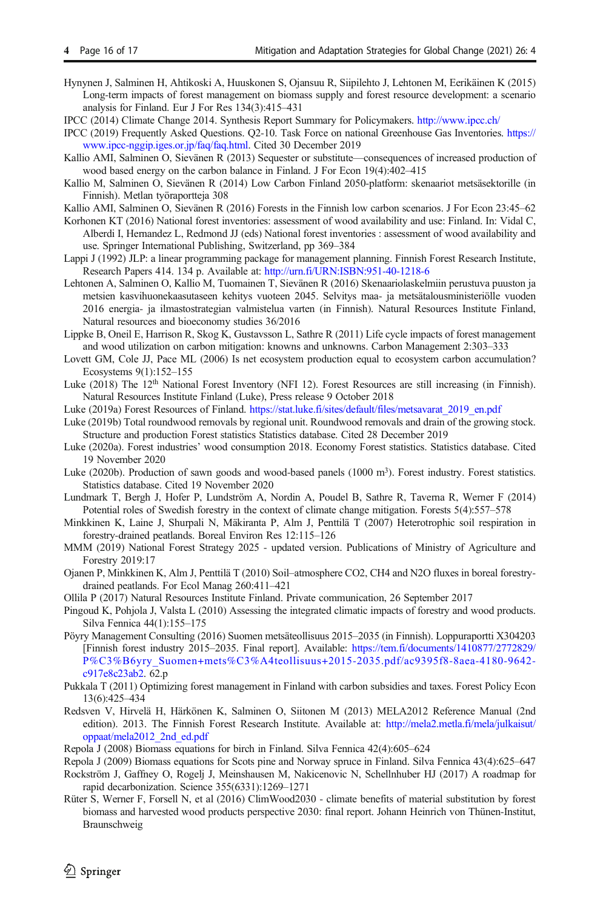<span id="page-15-0"></span>Hynynen J, Salminen H, Ahtikoski A, Huuskonen S, Ojansuu R, Siipilehto J, Lehtonen M, Eerikäinen K (2015) Long-term impacts of forest management on biomass supply and forest resource development: a scenario analysis for Finland. Eur J For Res 134(3):415–431

IPCC (2014) Climate Change 2014. Synthesis Report Summary for Policymakers. <http://www.ipcc.ch/>

IPCC (2019) Frequently Asked Questions. Q2-10. Task Force on national Greenhouse Gas Inventories. [https://](https://www.ipcc-nggip.iges.or.jp/faq/faq.html) [www.ipcc-nggip.iges.or.jp/faq/faq.html.](https://www.ipcc-nggip.iges.or.jp/faq/faq.html) Cited 30 December 2019

- Kallio AMI, Salminen O, Sievänen R (2013) Sequester or substitute—consequences of increased production of wood based energy on the carbon balance in Finland. J For Econ 19(4):402–415
- Kallio M, Salminen O, Sievänen R (2014) Low Carbon Finland 2050-platform: skenaariot metsäsektorille (in Finnish). Metlan työraportteja 308

Kallio AMI, Salminen O, Sievänen R (2016) Forests in the Finnish low carbon scenarios. J For Econ 23:45–62

- Korhonen KT (2016) National forest inventories: assessment of wood availability and use: Finland. In: Vidal C, Alberdi I, Hernandez L, Redmond JJ (eds) National forest inventories : assessment of wood availability and use. Springer International Publishing, Switzerland, pp 369–384
- Lappi J (1992) JLP: a linear programming package for management planning. Finnish Forest Research Institute, Research Papers 414. 134 p. Available at: <http://urn.fi/URN:ISBN:951-40-1218-6>
- Lehtonen A, Salminen O, Kallio M, Tuomainen T, Sievänen R (2016) Skenaariolaskelmiin perustuva puuston ja metsien kasvihuonekaasutaseen kehitys vuoteen 2045. Selvitys maa- ja metsätalousministeriölle vuoden 2016 energia- ja ilmastostrategian valmistelua varten (in Finnish). Natural Resources Institute Finland, Natural resources and bioeconomy studies 36/2016
- Lippke B, Oneil E, Harrison R, Skog K, Gustavsson L, Sathre R (2011) Life cycle impacts of forest management and wood utilization on carbon mitigation: knowns and unknowns. Carbon Management 2:303–333
- Lovett GM, Cole JJ, Pace ML (2006) Is net ecosystem production equal to ecosystem carbon accumulation? Ecosystems 9(1):152–155

Luke (2018) The 12<sup>th</sup> National Forest Inventory (NFI 12). Forest Resources are still increasing (in Finnish). Natural Resources Institute Finland (Luke), Press release 9 October 2018

Luke (2019a) Forest Resources of Finland. [https://stat.luke.fi/sites/default/files/metsavarat\\_2019\\_en.pdf](https://stat.luke.fi/sites/default/files/metsavarat_2019_en.pdf)

- Luke (2019b) Total roundwood removals by regional unit. Roundwood removals and drain of the growing stock. Structure and production Forest statistics Statistics database. Cited 28 December 2019
- Luke (2020a). Forest industries' wood consumption 2018. Economy Forest statistics. Statistics database. Cited 19 November 2020
- Luke (2020b). Production of sawn goods and wood-based panels (1000 m<sup>3</sup>). Forest industry. Forest statistics. Statistics database. Cited 19 November 2020
- Lundmark T, Bergh J, Hofer P, Lundström A, Nordin A, Poudel B, Sathre R, Taverna R, Werner F (2014) Potential roles of Swedish forestry in the context of climate change mitigation. Forests 5(4):557–578
- Minkkinen K, Laine J, Shurpali N, Mäkiranta P, Alm J, Penttilä T (2007) Heterotrophic soil respiration in forestry-drained peatlands. Boreal Environ Res 12:115–126
- MMM (2019) National Forest Strategy 2025 updated version. Publications of Ministry of Agriculture and Forestry 2019:17
- Ojanen P, Minkkinen K, Alm J, Penttilä T (2010) Soil–atmosphere CO2, CH4 and N2O fluxes in boreal forestrydrained peatlands. For Ecol Manag 260:411–421
- Ollila P (2017) Natural Resources Institute Finland. Private communication, 26 September 2017
- Pingoud K, Pohjola J, Valsta L (2010) Assessing the integrated climatic impacts of forestry and wood products. Silva Fennica 44(1):155–175
- Pöyry Management Consulting (2016) Suomen metsäteollisuus 2015–2035 (in Finnish). Loppuraportti X304203 [Finnish forest industry 2015–2035. Final report]. Available: [https://tem.fi/documents/1410877/2772829/](https://tem.fi/documents/1410877/2772829/P%C3%B6yry_Suomen+mets%C3%A4teollisuus+2015-2035.pdf/ac9395f8-8aea-4180-9642-c917e8c23ab2) [P%C3%B6yry\\_Suomen+mets%C3%A4teollisuus+2015-2035.pdf/ac9395f8-8aea-4180-9642](https://tem.fi/documents/1410877/2772829/P%C3%B6yry_Suomen+mets%C3%A4teollisuus+2015-2035.pdf/ac9395f8-8aea-4180-9642-c917e8c23ab2) [c917e8c23ab2](https://tem.fi/documents/1410877/2772829/P%C3%B6yry_Suomen+mets%C3%A4teollisuus+2015-2035.pdf/ac9395f8-8aea-4180-9642-c917e8c23ab2). 62.p
- Pukkala T (2011) Optimizing forest management in Finland with carbon subsidies and taxes. Forest Policy Econ 13(6):425–434
- Redsven V, Hirvelä H, Härkönen K, Salminen O, Siitonen M (2013) MELA2012 Reference Manual (2nd edition). 2013. The Finnish Forest Research Institute. Available at: [http://mela2.metla.fi/mela/julkaisut/](http://mela2.metla.fi/mela/julkaisut/oppaat/mela2012_2nd_ed.pdf) [oppaat/mela2012\\_2nd\\_ed.pdf](http://mela2.metla.fi/mela/julkaisut/oppaat/mela2012_2nd_ed.pdf)
- Repola J (2008) Biomass equations for birch in Finland. Silva Fennica 42(4):605–624
- Repola J (2009) Biomass equations for Scots pine and Norway spruce in Finland. Silva Fennica 43(4):625–647
- Rockström J, Gaffney O, Rogelj J, Meinshausen M, Nakicenovic N, Schellnhuber HJ (2017) A roadmap for rapid decarbonization. Science 355(6331):1269–1271
- Rüter S, Werner F, Forsell N, et al (2016) ClimWood2030 climate benefits of material substitution by forest biomass and harvested wood products perspective 2030: final report. Johann Heinrich von Thünen-Institut, Braunschweig